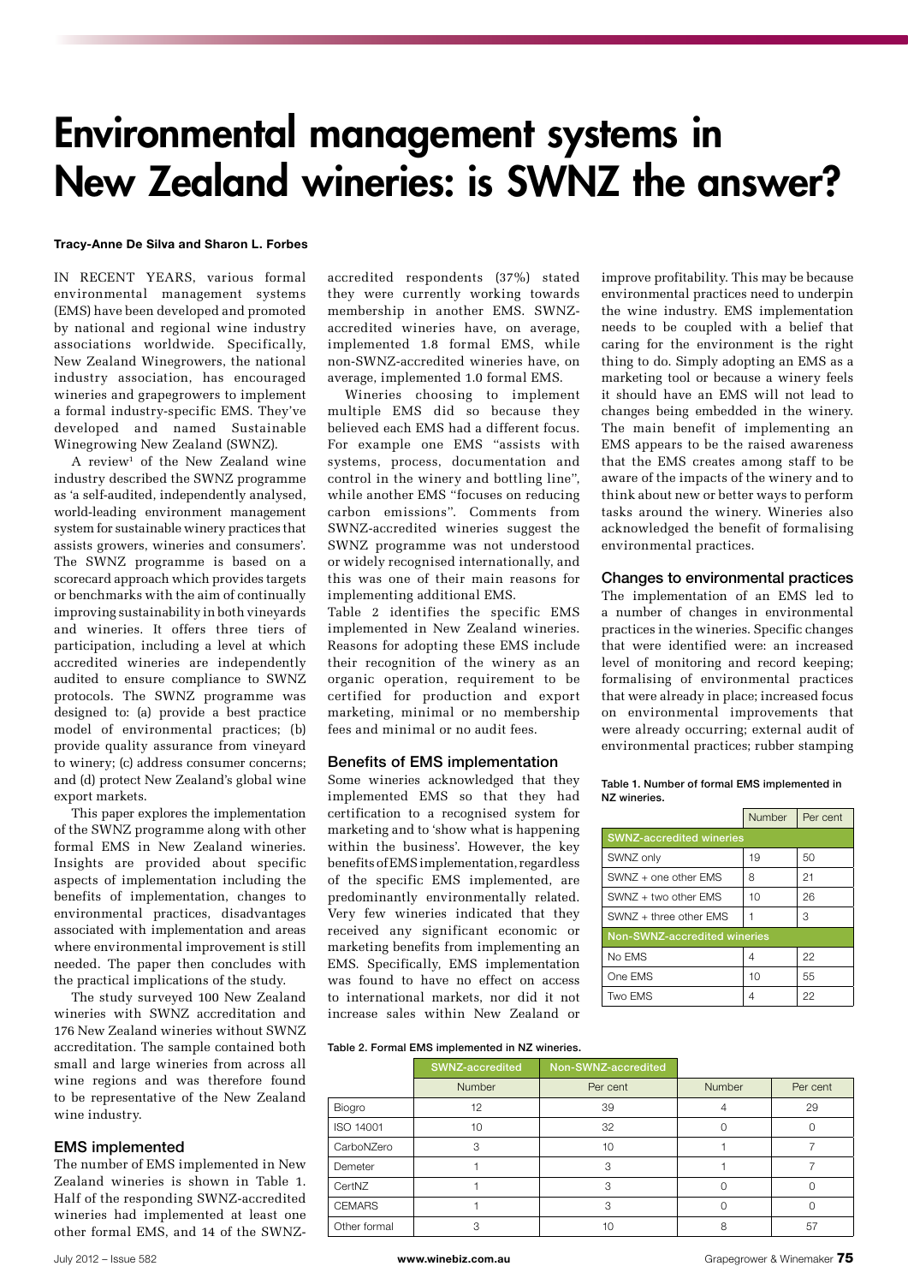# Environmental management systems in New Zealand wineries: is SWNZ the answer?

#### Tracy-Anne De Silva and Sharon L. Forbes

IN RECENT YEARS, various formal environmental management systems (EMS) have been developed and promoted by national and regional wine industry associations worldwide. Specifically, New Zealand Winegrowers, the national industry association, has encouraged wineries and grapegrowers to implement a formal industry-specific EMS. They've developed and named Sustainable Winegrowing New Zealand (SWNZ).

A review<sup>1</sup> of the New Zealand wine industry described the SWNZ programme as 'a self-audited, independently analysed, world-leading environment management system for sustainable winery practices that assists growers, wineries and consumers'. The SWNZ programme is based on a scorecard approach which provides targets or benchmarks with the aim of continually improving sustainability in both vineyards and wineries. It offers three tiers of participation, including a level at which accredited wineries are independently audited to ensure compliance to SWNZ protocols. The SWNZ programme was designed to: (a) provide a best practice model of environmental practices; (b) provide quality assurance from vineyard to winery; (c) address consumer concerns; and (d) protect New Zealand's global wine export markets.

This paper explores the implementation of the SWNZ programme along with other formal EMS in New Zealand wineries. Insights are provided about specific aspects of implementation including the benefits of implementation, changes to environmental practices, disadvantages associated with implementation and areas where environmental improvement is still needed. The paper then concludes with the practical implications of the study.

The study surveyed 100 New Zealand wineries with SWNZ accreditation and 176 New Zealand wineries without SWNZ accreditation. The sample contained both small and large wineries from across all wine regions and was therefore found to be representative of the New Zealand wine industry.

#### EMS implemented

The number of EMS implemented in New Zealand wineries is shown in Table 1. Half of the responding SWNZ-accredited wineries had implemented at least one other formal EMS, and 14 of the SWNZ- accredited respondents (37%) stated they were currently working towards membership in another EMS. SWNZaccredited wineries have, on average, implemented 1.8 formal EMS, while non-SWNZ-accredited wineries have, on average, implemented 1.0 formal EMS.

Wineries choosing to implement multiple EMS did so because they believed each EMS had a different focus. For example one EMS "assists with systems, process, documentation and control in the winery and bottling line", while another EMS "focuses on reducing carbon emissions". Comments from SWNZ-accredited wineries suggest the SWNZ programme was not understood or widely recognised internationally, and this was one of their main reasons for implementing additional EMS.

Table 2 identifies the specific EMS implemented in New Zealand wineries. Reasons for adopting these EMS include their recognition of the winery as an organic operation, requirement to be certified for production and export marketing, minimal or no membership fees and minimal or no audit fees.

## Benefits of EMS implementation

Some wineries acknowledged that they implemented EMS so that they had certification to a recognised system for marketing and to 'show what is happening within the business'. However, the key benefits of EMS implementation, regardless of the specific EMS implemented, are predominantly environmentally related. Very few wineries indicated that they received any significant economic or marketing benefits from implementing an EMS. Specifically, EMS implementation was found to have no effect on access to international markets, nor did it not increase sales within New Zealand or

improve profitability. This may be because environmental practices need to underpin the wine industry. EMS implementation needs to be coupled with a belief that caring for the environment is the right thing to do. Simply adopting an EMS as a marketing tool or because a winery feels it should have an EMS will not lead to changes being embedded in the winery. The main benefit of implementing an EMS appears to be the raised awareness that the EMS creates among staff to be aware of the impacts of the winery and to think about new or better ways to perform tasks around the winery. Wineries also acknowledged the benefit of formalising environmental practices.

## Changes to environmental practices

The implementation of an EMS led to a number of changes in environmental practices in the wineries. Specific changes that were identified were: an increased level of monitoring and record keeping; formalising of environmental practices that were already in place; increased focus on environmental improvements that were already occurring; external audit of environmental practices; rubber stamping

Table 1. Number of formal EMS implemented in NZ wineries.

|                                 | Number | Per cent |  |  |
|---------------------------------|--------|----------|--|--|
| <b>SWNZ-accredited wineries</b> |        |          |  |  |
| SWNZ only                       | 19     | 50       |  |  |
| $SWNZ +$ one other $EMS$        | 8      | 21       |  |  |
| SWNZ + two other EMS            | 10     | 26       |  |  |
| SWNZ + three other EMS          |        | 3        |  |  |
| Non-SWNZ-accredited wineries    |        |          |  |  |
| No EMS                          | 4      | 22       |  |  |
| One EMS                         | 10     | 55       |  |  |
| Two FMS                         | 4      | 22       |  |  |

#### Table 2. Formal EMS implemented in NZ wineries.

|               | SWNZ-accredited | Non-SWNZ-accredited |               |          |
|---------------|-----------------|---------------------|---------------|----------|
|               | <b>Number</b>   | Per cent            | <b>Number</b> | Per cent |
| Biogro        | 12              | 39                  |               | 29       |
| ISO 14001     | 10              | 32                  |               |          |
| CarboNZero    | 3               | 10                  |               |          |
| Demeter       |                 | З                   |               |          |
| CertNZ        |                 | З                   |               |          |
| <b>CEMARS</b> |                 | З                   |               |          |
| Other formal  | 3               | 10                  | 8             | 57       |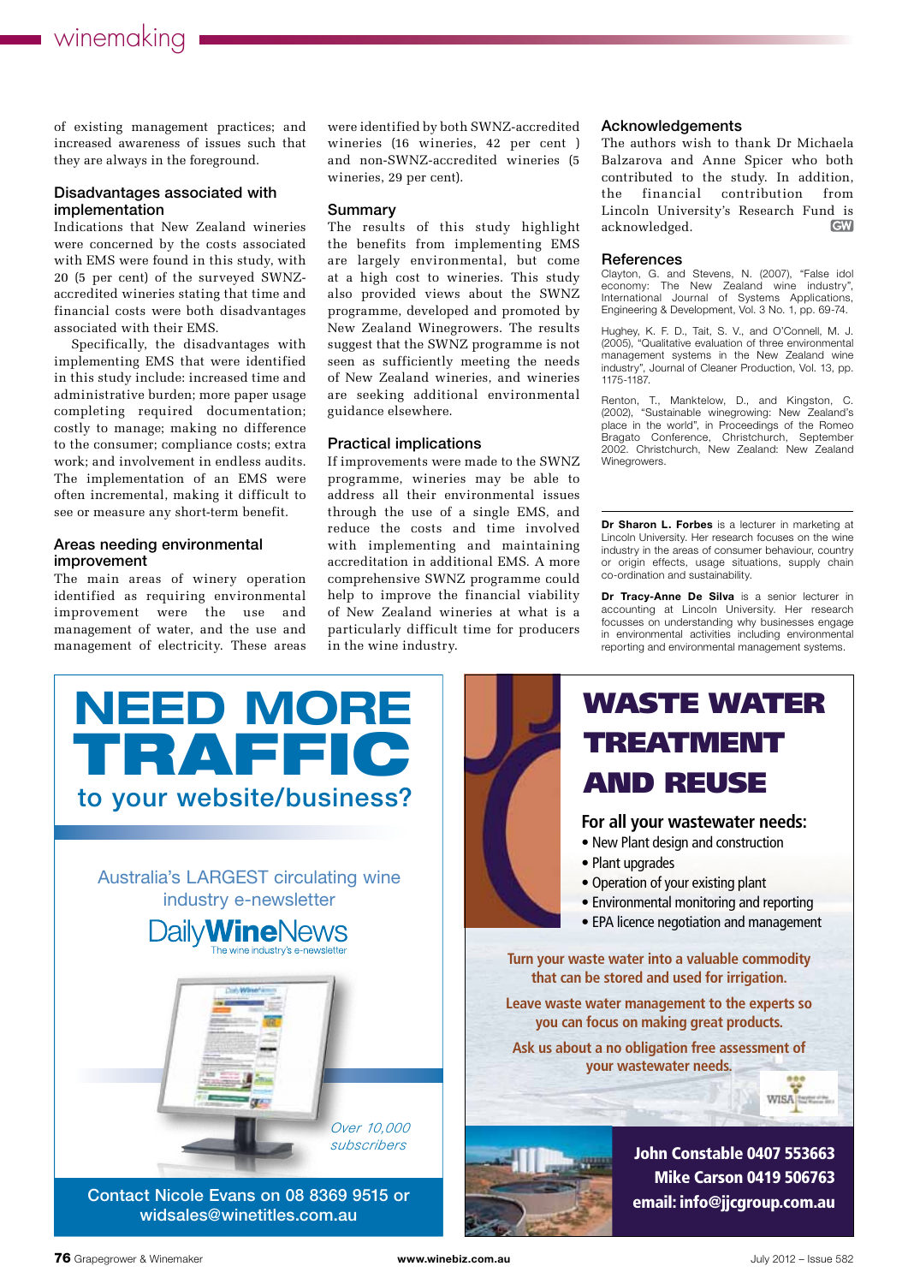# winemaking

of existing management practices; and increased awareness of issues such that they are always in the foreground.

#### Disadvantages associated with implementation

Indications that New Zealand wineries were concerned by the costs associated with EMS were found in this study, with 20 (5 per cent) of the surveyed SWNZaccredited wineries stating that time and financial costs were both disadvantages associated with their EMS.

Specifically, the disadvantages with implementing EMS that were identified in this study include: increased time and administrative burden; more paper usage completing required documentation; costly to manage; making no difference to the consumer; compliance costs; extra work; and involvement in endless audits. The implementation of an EMS were often incremental, making it difficult to see or measure any short-term benefit.

# Areas needing environmental improvement

The main areas of winery operation identified as requiring environmental improvement were the use and management of water, and the use and management of electricity. These areas were identified by both SWNZ-accredited wineries (16 wineries, 42 per cent ) and non-SWNZ-accredited wineries (5 wineries, 29 per cent).

### Summary

The results of this study highlight the benefits from implementing EMS are largely environmental, but come at a high cost to wineries. This study also provided views about the SWNZ programme, developed and promoted by New Zealand Winegrowers. The results suggest that the SWNZ programme is not seen as sufficiently meeting the needs of New Zealand wineries, and wineries are seeking additional environmental guidance elsewhere.

#### Practical implications

If improvements were made to the SWNZ programme, wineries may be able to address all their environmental issues through the use of a single EMS, and reduce the costs and time involved with implementing and maintaining accreditation in additional EMS. A more comprehensive SWNZ programme could help to improve the financial viability of New Zealand wineries at what is a particularly difficult time for producers in the wine industry.

#### Acknowledgements

The authors wish to thank Dr Michaela Balzarova and Anne Spicer who both contributed to the study. In addition, the financial contribution from Lincoln University's Research Fund is acknowledged. **CW** 

#### **References**

Clayton, G. and Stevens, N. (2007), "False idol economy: The New Zealand wine industry", International Journal of Systems Applications, Engineering & Development, Vol. 3 No. 1, pp. 69-74.

Hughey, K. F. D., Tait, S. V., and O'Connell, M. J. (2005), "Qualitative evaluation of three environmental management systems in the New Zealand wine industry", Journal of Cleaner Production, Vol. 13, pp. 1175-1187.

Renton, T., Manktelow, D., and Kingston, C. (2002), "Sustainable winegrowing: New Zealand's place in the world", in Proceedings of the Romeo Bragato Conference, Christchurch, September 2002. Christchurch, New Zealand: New Zealand Winegrowers.

Dr Sharon L. Forbes is a lecturer in marketing at Lincoln University. Her research focuses on the wine industry in the areas of consumer behaviour, country or origin effects, usage situations, supply chain co-ordination and sustainability.

Dr Tracy-Anne De Silva is a senior lecturer in accounting at Lincoln University. Her research focusses on understanding why businesses engage in environmental activities including environmental reporting and environmental management systems.